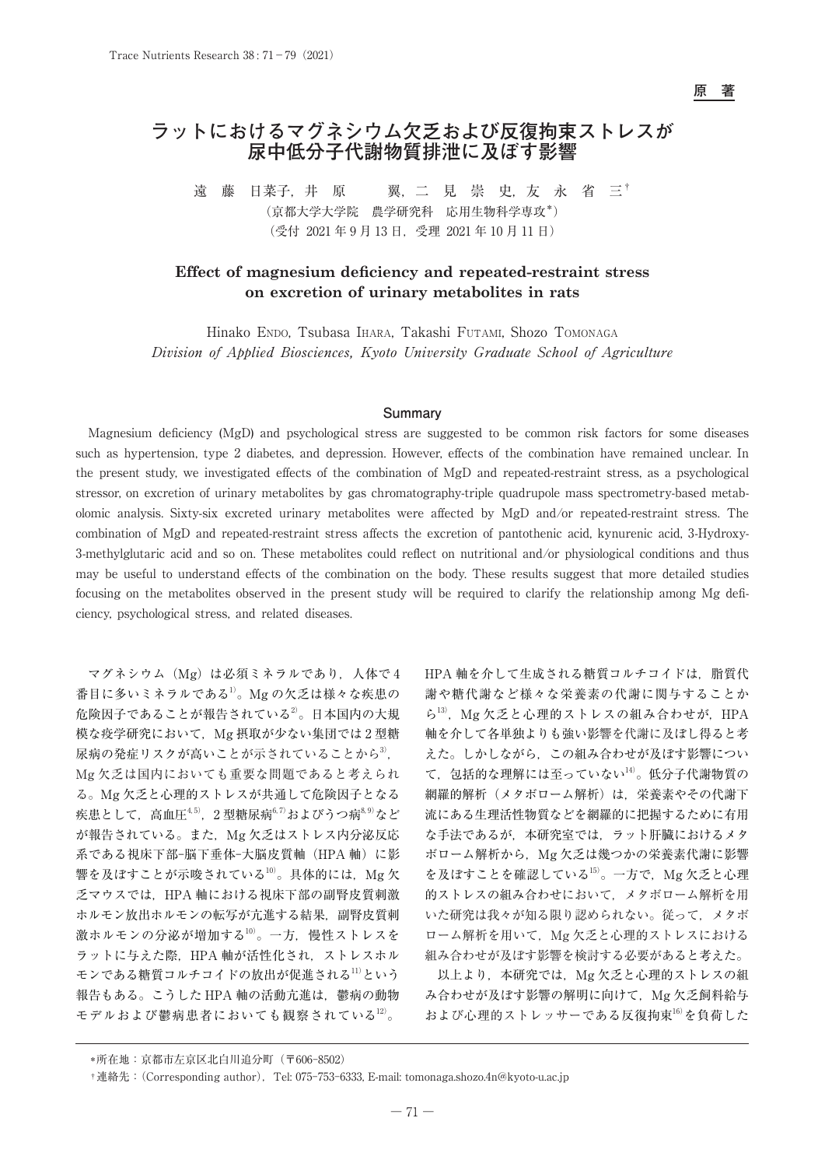**原 著**

# **ラットにおけるマグネシウム欠乏および反復拘束ストレスが 尿中低分子代謝物質排泄に及ぼす影響**

遠 藤 日菜子, 井 原 翼, 二 見 崇 史, 友 永 省 三<sup>†</sup> (京都大学大学院 農学研究科 応用生物科学専攻\*) (受付 2021 年 9 月 13 日,受理 2021 年 10 月 11 日)

# **Effect of magnesium deficiency and repeated-restraint stress on excretion of urinary metabolites in rats**

Hinako Endo, Tsubasa Ihara, Takashi Futami, Shozo Tomonaga Division of Applied Biosciences, Kyoto University Graduate School of Agriculture

#### **Summary**

Magnesium deficiency (MgD) and psychological stress are suggested to be common risk factors for some diseases such as hypertension, type 2 diabetes, and depression. However, effects of the combination have remained unclear. In the present study, we investigated effects of the combination of MgD and repeated-restraint stress, as a psychological stressor, on excretion of urinary metabolites by gas chromatography-triple quadrupole mass spectrometry-based metabolomic analysis. Sixty-six excreted urinary metabolites were affected by MgD and/or repeated-restraint stress. The combination of MgD and repeated-restraint stress affects the excretion of pantothenic acid, kynurenic acid, 3-Hydroxy-3-methylglutaric acid and so on. These metabolites could reflect on nutritional and/or physiological conditions and thus may be useful to understand effects of the combination on the body. These results suggest that more detailed studies focusing on the metabolites observed in the present study will be required to clarify the relationship among Mg deficiency, psychological stress, and related diseases.

マグネシウム(Mg)は必須ミネラルであり,人体で 4 番目に多いミネラルである1)。Mg の欠乏は様々な疾患の 危険因子であることが報告されている2)。日本国内の大規 模な疫学研究において,Mg 摂取が少ない集団では 2 型糖 尿病の発症リスクが高いことが示されていることから3). Mg 欠乏は国内においても重要な問題であると考えられ る。Mg 欠乏と心理的ストレスが共通して危険因子となる 疾患として,高血圧4, 5),2 型糖尿病6, 7)およびうつ病8, 9)など が報告されている。また、Mg 欠乏はストレス内分泌反応 系である視床下部-脳下垂体-大脳皮質軸(HPA 軸)に影 響を及ぼすことが示唆されている $^{10}$ 。具体的には、Mg 欠 乏マウスでは,HPA 軸における視床下部の副腎皮質刺激 ホルモン放出ホルモンの転写が亢進する結果,副腎皮質刺 激ホルモンの分泌が増加する10)。一方,慢性ストレスを ラットに与えた際, HPA 軸が活性化され、ストレスホル モンである糖質コルチコイドの放出が促進される11)という 報告もある。こうした HPA 軸の活動亢進は,鬱病の動物 モデルおよび鬱病患者においても観察されている12)。

HPA 軸を介して生成される糖質コルチコイドは、脂質代 謝や糖代謝など様々な栄養素の代謝に関与することか ら $13$ ), Mg 欠乏と心理的ストレスの組み合わせが, HPA 軸を介して各単独よりも強い影響を代謝に及ぼし得ると考 えた。しかしながら,この組み合わせが及ぼす影響につい て、包括的な理解には至っていない14)。低分子代謝物質の 網羅的解析(メタボローム解析)は,栄養素やその代謝下 流にある生理活性物質などを網羅的に把握するために有用 な手法であるが,本研究室では,ラット肝臓におけるメタ ボローム解析から、Mg 欠乏は幾つかの栄養素代謝に影響 を及ぼすことを確認している $^{15)}$ 。一方で, Mg 欠乏と心理 的ストレスの組み合わせにおいて,メタボローム解析を用 いた研究は我々が知る限り認められない。従って,メタボ ローム解析を用いて、Mg 欠乏と心理的ストレスにおける 組み合わせが及ぼす影響を検討する必要があると考えた。

以上より、本研究では、Mg 欠乏と心理的ストレスの組 み合わせが及ぼす影響の解明に向けて、Mg 欠乏飼料給与 および心理的ストレッサーである反復拘束16)を負荷した

 <sup>\*</sup>所在地:京都市左京区北白川追分町(〒606-8502)

 <sup>†</sup>連絡先:(Corresponding author),Tel: 075-753-6333, E-mail: tomonaga.shozo.4n@kyoto-u.ac.jp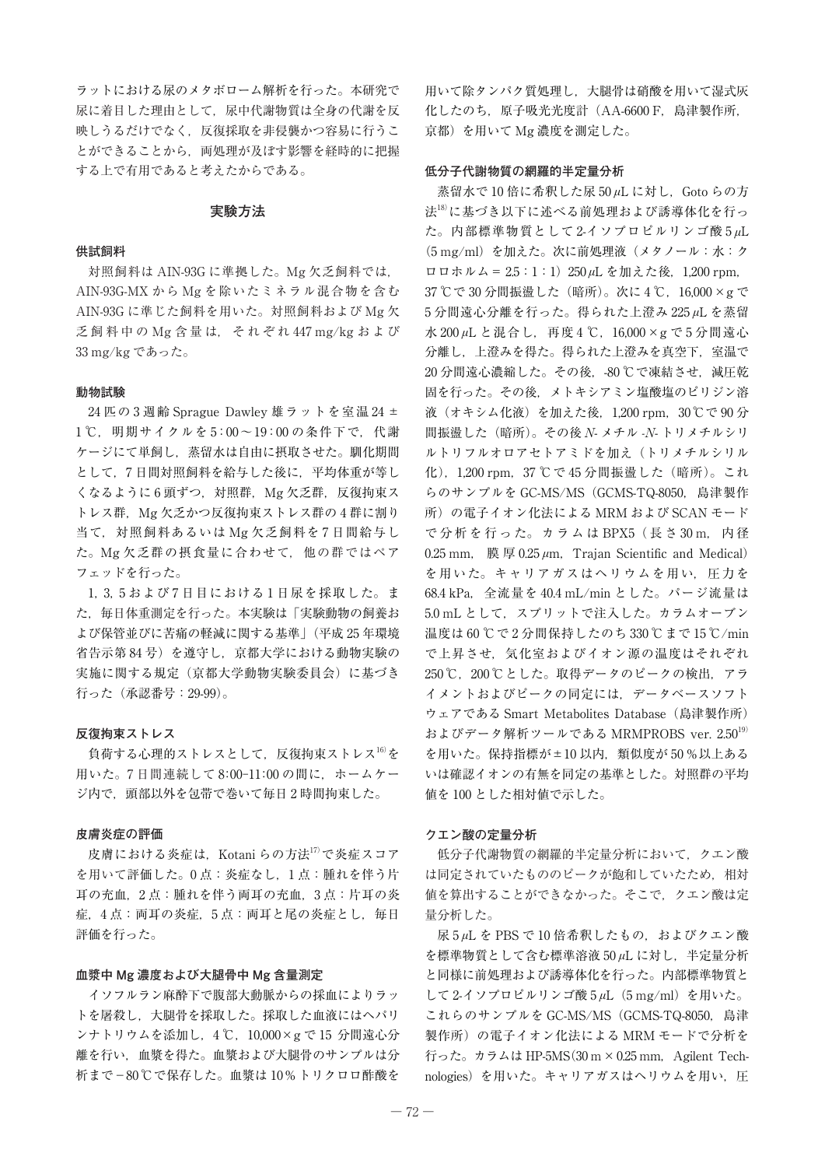ラットにおける尿のメタボローム解析を行った。本研究で 尿に着目した理由として,尿中代謝物質は全身の代謝を反 映しうるだけでなく,反復採取を非侵襲かつ容易に行うこ とができることから,両処理が及ぼす影響を経時的に把握 する上で有用であると考えたからである。

### **実験方法**

#### **供試飼料**

対照飼料は AIN-93G に準拠した。Mg 欠乏飼料では, AIN-93G-MX から Mg を除いたミネラル混合物を含む AIN-93G に準じた飼料を用いた。対照飼料および Mg 欠 乏 飼 料 中 の Mg 含 量 は, そ れ ぞ れ 447 mg/kg お よ び 33 mg/kg であった。

#### **動物試験**

24 匹の 3 週齢 Sprague Dawley 雄ラットを室温 24 ± 1℃, 明期サイクルを 5:00~19:00 の条件下で, 代謝 ケージにて単飼し,蒸留水は自由に摂取させた。馴化期間 として,7 日間対照飼料を給与した後に,平均体重が等し くなるように6頭ずつ, 対照群, Mg 欠乏群, 反復拘束ス トレス群, Mg 欠乏かつ反復拘束ストレス群の4群に割り 当て,対照飼料あるいは Mg 欠乏飼料を 7 日間給与し た。Mg 欠乏群の摂食量に合わせて,他の群ではペア フェッドを行った。

1,3,5 および 7 日目における 1 日尿を採取した。ま た,毎日体重測定を行った。本実験は「実験動物の飼養お よび保管並びに苦痛の軽減に関する基準」(平成 25 年環境 省告示第 84 号)を遵守し,京都大学における動物実験の 実施に関する規定(京都大学動物実験委員会)に基づき 行った(承認番号:29-99)。

#### **反復拘束ストレス**

負荷する心理的ストレスとして、反復拘束ストレス16)を 用いた。7 日間連続して 8: 00-11: 00 の間に,ホームケー ジ内で,頭部以外を包帯で巻いて毎日 2 時間拘束した。

#### **皮膚炎症の評価**

皮膚における炎症は、Kotani らの方法17)で炎症スコア を用いて評価した。0 点:炎症なし,1 点:腫れを伴う片 耳の充血,2 点:腫れを伴う両耳の充血,3 点:片耳の炎 症,4点:両耳の炎症,5点:両耳と尾の炎症とし,毎日 評価を行った。

### **血漿中 Mg 濃度および大腿骨中 Mg 含量測定**

イソフルラン麻酔下で腹部大動脈からの採血によりラッ トを屠殺し,大腿骨を採取した。採取した血液にはヘパリ ンナトリウムを添加し,4 ℃,10,000×g で 15 分間遠心分 離を行い,血漿を得た。血漿および大腿骨のサンプルは分 析まで−80 ℃で保存した。血漿は 10 % トリクロロ酢酸を

用いて除タンパク質処理し,大腿骨は硝酸を用いて湿式灰 化したのち,原子吸光光度計(AA-6600 F,島津製作所, 京都)を用いて Mg 濃度を測定した。

#### **低分子代謝物質の網羅的半定量分析**

蒸留水で 10 倍に希釈した尿 50 *u*L に対し, Goto らの方 法18)に基づき以下に述べる前処理および誘導体化を行っ た。内部標準物質として 2-イソプロピルリンゴ酸 5 *μ*L (5 mg/ml)を加えた。次に前処理液(メタノール:水:ク ロロホルム= 2.5:1:1)250 *μ*L を加えた後,1,200 rpm, 37 ℃で 30 分間振盪した (暗所)。次に 4 ℃, 16,000 × g で 5 分間遠心分離を行った。得られた上澄み 225 *μ*L を蒸留 水 200 *μ*L と混合し,再度 4 ℃,16,000×g で 5 分間遠心 分離し、上澄みを得た。得られた上澄みを真空下、室温で 20分間遠心濃縮した。その後, -80 ℃で凍結させ, 減圧乾 固を行った。その後,メトキシアミン塩酸塩のピリジン溶 液(オキシム化液)を加えた後, 1,200 rpm, 30℃で 90分 間振盪した (暗所)。その後 N- メチル -N- トリメチルシリ ルトリフルオロアセトアミドを加え(トリメチルシリル 化),1,200 rpm,37 ℃で 45 分間振盪した(暗所)。これ らのサンプルを GC-MS/MS (GCMS-TQ-8050, 島津製作 所)の電子イオン化法による MRM および SCAN モード で分析を行った。カラムは BPX5 (長さ30 m, 内径 0.25 mm, 膜厚 0.25 μm, Trajan Scientific and Medical) を用いた。キャリアガスはヘリウムを用い,圧力を 68.4 kPa,全流量を 40.4 mL/min とした。パージ流量は 5.0 mL として、スプリットで注入した。カラムオーブン 温度は 60 ℃で 2 分間保持したのち 330 ℃まで 15 ℃/min で上昇させ,気化室およびイオン源の温度はそれぞれ 250 ℃, 200 ℃とした。取得データのピークの検出、アラ イメントおよびピークの同定には,データベースソフト ウェアである Smart Metabolites Database(島津製作所) およびデータ解析ツールである MRMPROBS ver.  $2.50^{19}$ を用いた。保持指標が±10 以内,類似度が 50 %以上ある いは確認イオンの有無を同定の基準とした。対照群の平均 値を 100 とした相対値で示した。

#### **クエン酸の定量分析**

低分子代謝物質の網羅的半定量分析において,クエン酸 は同定されていたもののピークが飽和していたため,相対 値を算出することができなかった。そこで,クエン酸は定 量分析した。

尿 5 μL を PBS で 10 倍希釈したもの, およびクエン酸 を標準物質として含む標準溶液 50 *μ*L に対し,半定量分析 と同様に前処理および誘導体化を行った。内部標準物質と して 2-イソプロピルリンゴ酸 5 *μ*L(5 mg/ml)を用いた。 これらのサンプルを GC-MS/MS (GCMS-TQ-8050, 島津 製作所)の電子イオン化法による MRM モードで分析を 行った。カラムは HP-5MS(30 m × 0.25 mm, Agilent Technologies) を用いた。キャリアガスはヘリウムを用い,圧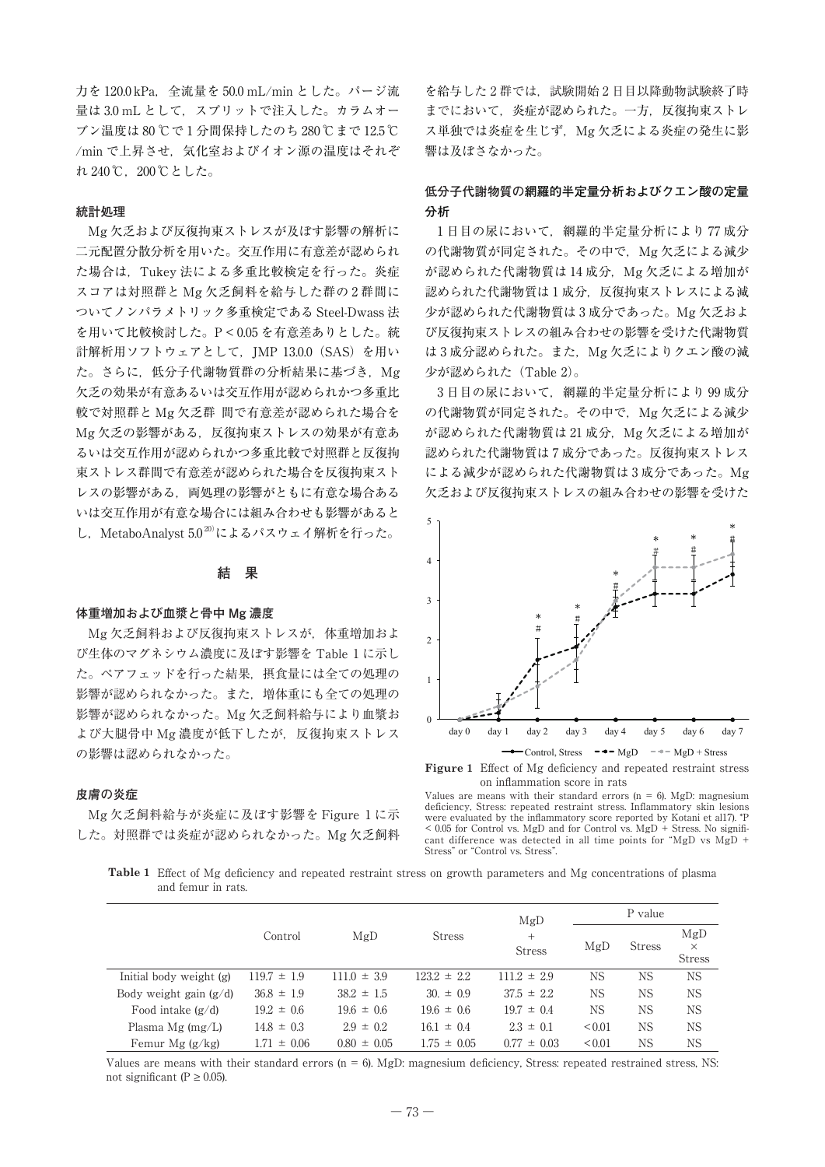力を 120.0 kPa,全流量を 50.0 mL/min とした。パージ流 量は 3.0 mL として、スプリットで注入した。カラムオー ブン温度は 80 ℃で 1 分間保持したのち 280 ℃まで 12.5 ℃ /min で上昇させ、気化室およびイオン源の温度はそれぞ れ 240 ℃, 200 ℃とした。

### **統計処理**

Mg 欠乏および反復拘束ストレスが及ぼす影響の解析に 二元配置分散分析を用いた。交互作用に有意差が認められ た場合は,Tukey 法による多重比較検定を行った。炎症 スコアは対照群と Mg 欠乏飼料を給与した群の 2 群間に ついてノンパラメトリック多重検定である Steel-Dwass 法 を用いて比較検討した。P < 0.05 を有意差ありとした。統 計解析用ソフトウェアとして, JMP 13.0.0 (SAS) を用い た。さらに、低分子代謝物質群の分析結果に基づき, Mg 欠乏の効果が有意あるいは交互作用が認められかつ多重比 較で対照群と Mg 欠乏群 間で有意差が認められた場合を Mg 欠乏の影響がある、反復拘束ストレスの効果が有意あ るいは交互作用が認められかつ多重比較で対照群と反復拘 束ストレス群間で有意差が認められた場合を反復拘束スト レスの影響がある,両処理の影響がともに有意な場合ある いは交互作用が有意な場合には組み合わせも影響があると し, MetaboAnalyst  $5.0^{20}$ によるパスウェイ解析を行った。

### **結 果**

#### **体重増加および血漿と骨中 Mg 濃度**

Mg 欠乏飼料および反復拘束ストレスが,体重増加およ び生体のマグネシウム濃度に及ぼす影響を Table 1 に示し た。ペアフェッドを行った結果,摂食量には全ての処理の 影響が認められなかった。また,増体重にも全ての処理の 影響が認められなかった。Mg 欠乏飼料給与により血漿お よび大腿骨中 Mg 濃度が低下したが、反復拘束ストレス の影響は認められなかった。

### **皮膚の炎症**

Mg 欠乏飼料給与が炎症に及ぼす影響を Figure 1 に示 した。対照群では炎症が認められなかった。Mg 欠乏飼料

を給与した2群では、試験開始2日目以降動物試験終了時 までにおいて,炎症が認められた。一方,反復拘束ストレ ス単独では炎症を生じず、Mg 欠乏による炎症の発生に影 響は及ぼさなかった。

# **低分子代謝物質の網羅的半定量分析およびクエン酸の定量 分析**

1 日目の尿において,網羅的半定量分析により 77 成分 の代謝物質が同定された。その中で, Mg 欠乏による減少 が認められた代謝物質は 14 成分, Mg 欠乏による増加が 認められた代謝物質は1成分, 反復拘束ストレスによる減 少が認められた代謝物質は 3 成分であった。Mg 欠乏およ び反復拘束ストレスの組み合わせの影響を受けた代謝物質 は3成分認められた。また, Mg 欠乏によりクエン酸の減 少が認められた(Table 2)。

3 日目の尿において,網羅的半定量分析により 99 成分 の代謝物質が同定された。その中で, Mg 欠乏による減少 が認められた代謝物質は 21 成分, Mg 欠乏による増加が 認められた代謝物質は 7 成分であった。反復拘束ストレス による減少が認められた代謝物質は 3 成分であった。Mg 欠乏および反復拘束ストレスの組み合わせの影響を受けた



**Figure 1** Effect of Mg deficiency and repeated restraint stress on inflammation score in rats

Values are means with their standard errors ( $n = 6$ ). MgD: magnesium deficiency, Stress: repeated restraint stress. Inflammatory skin lesions were evaluated by the inflammatory score reported by Kotani et al17). \*P  $\sim 0.05$  for Control vs. MgD and for Control vs. MgD + Stress. No significant difference was detected in all time points for "MgD vs MgD + Stress" or "Control vs. Stress".

**Table 1** Effect of Mg deficiency and repeated restraint stress on growth parameters and Mg concentrations of plasma and femur in rats.

|                          |                 |                 |                 | MgD                            | P value     |               |                                  |  |
|--------------------------|-----------------|-----------------|-----------------|--------------------------------|-------------|---------------|----------------------------------|--|
|                          | Control         | MgD             | <b>Stress</b>   | $^{+}$<br>MgD<br><b>Stress</b> |             | <b>Stress</b> | MgD<br>$\times$<br><b>Stress</b> |  |
| Initial body weight (g)  | $119.7 \pm 1.9$ | $111.0 \pm 3.9$ | $123.2 \pm 2.2$ | $111.2 \pm 2.9$                | NS.         | ΝS            | <b>NS</b>                        |  |
| Body weight gain $(g/d)$ | $36.8 \pm 1.9$  | $38.2 \pm 1.5$  | $30 \pm 0.9$    | $37.5 \pm 2.2$                 | NS.         | ΝS            | <b>NS</b>                        |  |
| Food intake $(g/d)$      | $19.2 \pm 0.6$  | $19.6 \pm 0.6$  | $19.6 \pm 0.6$  | $19.7 \pm 0.4$                 | <b>NS</b>   | <b>NS</b>     | <b>NS</b>                        |  |
| Plasma Mg $(mg/L)$       | $14.8 \pm 0.3$  | $2.9 \pm 0.2$   | $16.1 \pm 0.4$  | $2.3 \pm 0.1$                  | ${}_{0.01}$ | ΝS            | <b>NS</b>                        |  |
| Femur Mg $(g/kg)$        | $1.71 \pm 0.06$ | $0.80 \pm 0.05$ | $1.75 \pm 0.05$ | $0.77 \pm 0.03$                | ${}_{0.01}$ | ΝS            | <b>NS</b>                        |  |

Values are means with their standard errors (n = 6). MgD: magnesium deficiency, Stress: repeated restrained stress, NS: not significant (P  $\geq$  0.05).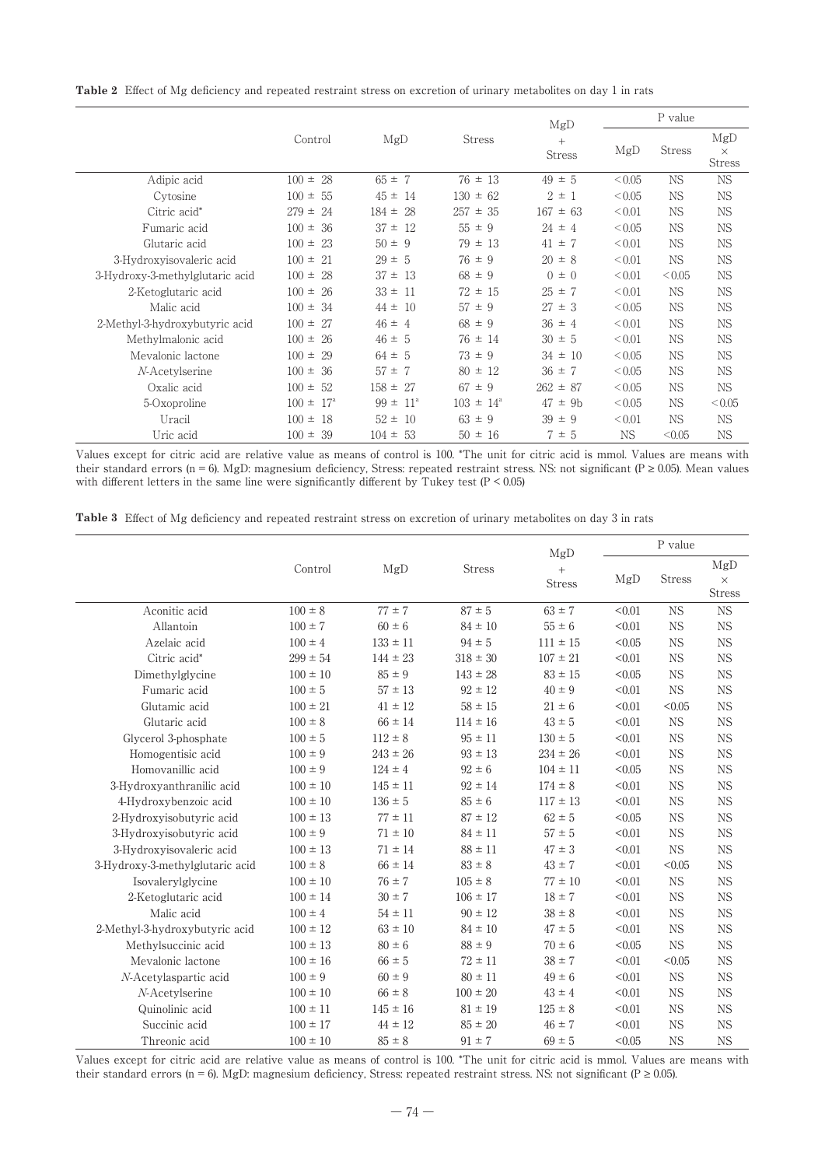**Table 2** Effect of Mg deficiency and repeated restraint stress on excretion of urinary metabolites on day 1 in rats

|                                 |                           |                          | MgD                  | P value              |             |               |                                  |
|---------------------------------|---------------------------|--------------------------|----------------------|----------------------|-------------|---------------|----------------------------------|
|                                 | Control                   | MgD                      | Stress               | $+$<br><b>Stress</b> | MgD         | <b>Stress</b> | MgD<br>$\times$<br><b>Stress</b> |
| Adipic acid                     | $100 \pm 28$              | $65 \pm 7$               | $76 \pm 13$          | $49 \pm 5$           | < 0.05      | <b>NS</b>     | <b>NS</b>                        |
| Cytosine                        | $100 \pm$<br>-55          | $45 \pm$<br>-14          | $130 \pm 62$         | $2 \pm 1$            | < 0.05      | NS.           | <b>NS</b>                        |
| Citric acid*                    | $279 =$<br>24             | $184 =$<br>28            | 257<br>$\pm$ 35      | 167<br>$\pm$ 63      | ${}_{0.01}$ | <b>NS</b>     | <b>NS</b>                        |
| Fumaric acid                    | $100 \pm$<br>36           | $37 \pm$<br>12           | $55 \pm 9$           | $24 \pm 4$           | < 0.05      | <b>NS</b>     | <b>NS</b>                        |
| Glutaric acid                   | $100 \pm$<br>-23          | $50 \pm 9$               | $79 \pm 13$          | $41 \pm 7$           | < 0.01      | <b>NS</b>     | <b>NS</b>                        |
| 3-Hydroxyisovaleric acid        | $100 =$<br>-21            | $29 \pm 5$               | $76 \pm 9$           | $20 \pm 8$           | < 0.01      | <b>NS</b>     | <b>NS</b>                        |
| 3-Hydroxy-3-methylglutaric acid | $100 =$<br>28             | $37 \pm 13$              | $68 \pm 9$           | $0 \pm 0$            | < 0.01      | ${}_{0.05}$   | <b>NS</b>                        |
| 2-Ketoglutaric acid             | $100 \pm$<br>26           | $33 \pm$<br>-11          | $72 \pm 15$          | $25 \pm 7$           | < 0.01      | <b>NS</b>     | <b>NS</b>                        |
| Malic acid                      | $100 \pm$<br>34           | $44 \pm$<br>10           | $57 \pm 9$           | 27<br>$\pm$ 3        | < 0.05      | <b>NS</b>     | <b>NS</b>                        |
| 2-Methyl-3-hydroxybutyric acid  | $100 =$<br>-27            | $46 \pm 4$               | $68 \pm 9$           | $36 \pm 4$           | < 0.01      | <b>NS</b>     | <b>NS</b>                        |
| Methylmalonic acid              | $100 \pm$<br>26           | $46 \pm 5$               | $76 \pm 14$          | $30 \pm 5$           | < 0.01      | <b>NS</b>     | <b>NS</b>                        |
| Mevalonic lactone               | $100 \pm$<br>29           | $64 \pm 5$               | $73 \pm 9$           | $34 \pm 10$          | < 0.05      | <b>NS</b>     | <b>NS</b>                        |
| N-Acetylserine                  | $100 \pm$<br>36           | $57 \pm 7$               | $80 \pm 12$          | $36 \pm 7$           | <0.05       | <b>NS</b>     | <b>NS</b>                        |
| Oxalic acid                     | $100 \pm$<br>52           | $158 \pm$<br>27          | $67 \pm 9$           | $262 \pm 87$         | <0.05       | <b>NS</b>     | <b>NS</b>                        |
| 5-Oxoproline                    | $100 \pm$<br>$17^{\circ}$ | $99 \pm$<br>$11^{\circ}$ | $103 \pm 14^{\circ}$ | 47<br>$\pm$ 9b       | < 0.05      | <b>NS</b>     | < 0.05                           |
| Uracil                          | $100 \pm$<br>-18          | $52 =$<br>-10            | $63 \pm 9$           | $39 \pm 9$           | < 0.01      | <b>NS</b>     | <b>NS</b>                        |
| Uric acid                       | 39<br>$100 =$             | $104 =$<br>53            | $50 \pm 16$          | $7 \pm 5$            | <b>NS</b>   | < 0.05        | <b>NS</b>                        |

Values except for citric acid are relative value as means of control is 100. \*The unit for citric acid is mmol. Values are means with their standard errors (n = 6). MgD: magnesium deficiency, Stress: repeated restraint stress. NS: not significant (P  $\geq$  0.05). Mean values with different letters in the same line were significantly different by Tukey test (P < 0.05)

|  |  |  | <b>Table 3</b> Effect of Mg deficiency and repeated restraint stress on excretion of urinary metabolites on day 3 in rats |  |  |  |
|--|--|--|---------------------------------------------------------------------------------------------------------------------------|--|--|--|
|--|--|--|---------------------------------------------------------------------------------------------------------------------------|--|--|--|

|                                 |              |              |                                       | MgD          |        | P value       |                                  |
|---------------------------------|--------------|--------------|---------------------------------------|--------------|--------|---------------|----------------------------------|
|                                 | Control      | MgD          | <b>Stress</b><br>$+$<br><b>Stress</b> |              | MgD    | <b>Stress</b> | MgD<br>$\times$<br><b>Stress</b> |
| Aconitic acid                   | $100 \pm 8$  | $77 \pm 7$   | $87 \pm 5$                            | $63 \pm 7$   | < 0.01 | <b>NS</b>     | $_{\rm NS}$                      |
| Allantoin                       | $100 \pm 7$  | $60 \pm 6$   | $84 \pm 10$                           | $55 \pm 6$   | < 0.01 | <b>NS</b>     | $_{\rm NS}$                      |
| Azelaic acid                    | $100 \pm 4$  | $133 \pm 11$ | $94 \pm 5$                            | $111 \pm 15$ | < 0.05 | <b>NS</b>     | $_{\rm NS}$                      |
| Citric acid*                    | $299 \pm 54$ | $144 \pm 23$ | $318 \pm 30$                          | $107 \pm 21$ | < 0.01 | <b>NS</b>     | <b>NS</b>                        |
| Dimethylglycine                 | $100 \pm 10$ | $85 \pm 9$   | $143 \pm 28$                          | $83 \pm 15$  | < 0.05 | <b>NS</b>     | $_{\rm NS}$                      |
| Fumaric acid                    | $100 \pm 5$  | $57 \pm 13$  | $92 \pm 12$                           | $40 \pm 9$   | < 0.01 | <b>NS</b>     | <b>NS</b>                        |
| Glutamic acid                   | $100 \pm 21$ | $41 \pm 12$  | $58 \pm 15$                           | $21 \pm 6$   | < 0.01 | < 0.05        | <b>NS</b>                        |
| Glutaric acid                   | $100 \pm 8$  | $66 \pm 14$  | $114 \pm 16$                          | $43 \pm 5$   | < 0.01 | <b>NS</b>     | $_{\rm NS}$                      |
| Glycerol 3-phosphate            | $100 \pm 5$  | $112 \pm 8$  | $95 \pm 11$                           | $130 \pm 5$  | < 0.01 | <b>NS</b>     | <b>NS</b>                        |
| Homogentisic acid               | $100 \pm 9$  | $243 \pm 26$ | $93 \pm 13$                           | $234 \pm 26$ | < 0.01 | <b>NS</b>     | <b>NS</b>                        |
| Homovanillic acid               | $100 \pm 9$  | $124 \pm 4$  | $92 \pm 6$                            | $104 \pm 11$ | < 0.05 | <b>NS</b>     | <b>NS</b>                        |
| 3-Hydroxyanthranilic acid       | $100 \pm 10$ | $145 \pm 11$ | $92 \pm 14$                           | $174 \pm 8$  | < 0.01 | <b>NS</b>     | <b>NS</b>                        |
| 4-Hydroxybenzoic acid           | $100 \pm 10$ | $136 \pm 5$  | $85 \pm 6$                            | $117 \pm 13$ | < 0.01 | <b>NS</b>     | <b>NS</b>                        |
| 2-Hydroxyisobutyric acid        | $100 \pm 13$ | $77 \pm 11$  | $87 \pm 12$                           | $62 \pm 5$   | < 0.05 | <b>NS</b>     | $_{\rm NS}$                      |
| 3-Hydroxyisobutyric acid        | $100 \pm 9$  | $71 \pm 10$  | $84 \pm 11$                           | $57 \pm 5$   | < 0.01 | <b>NS</b>     | <b>NS</b>                        |
| 3-Hydroxyisovaleric acid        | $100 \pm 13$ | $71 \pm 14$  | $88 \pm 11$                           | $47 \pm 3$   | < 0.01 | <b>NS</b>     | <b>NS</b>                        |
| 3-Hydroxy-3-methylglutaric acid | $100 \pm 8$  | $66 \pm 14$  | $83 \pm 8$                            | $43 \pm 7$   | < 0.01 | < 0.05        | <b>NS</b>                        |
| Isovalerylglycine               | $100 \pm 10$ | $76 \pm 7$   | $105 \pm 8$                           | $77 \pm 10$  | < 0.01 | <b>NS</b>     | $_{\rm NS}$                      |
| 2-Ketoglutaric acid             | $100 \pm 14$ | $30 \pm 7$   | $106 \pm 17$                          | $18 \pm 7$   | < 0.01 | <b>NS</b>     | $_{\rm NS}$                      |
| Malic acid                      | $100 \pm 4$  | $54 \pm 11$  | $90 \pm 12$                           | $38 \pm 8$   | < 0.01 | <b>NS</b>     | <b>NS</b>                        |
| 2-Methyl-3-hydroxybutyric acid  | $100 \pm 12$ | $63 \pm 10$  | $84 \pm 10$                           | $47 \pm 5$   | < 0.01 | <b>NS</b>     | $_{\rm NS}$                      |
| Methylsuccinic acid             | $100 \pm 13$ | $80 \pm 6$   | $88 \pm 9$                            | $70 \pm 6$   | < 0.05 | <b>NS</b>     | $_{\rm NS}$                      |
| Mevalonic lactone               | $100 \pm 16$ | $66 \pm 5$   | $72 \pm 11$                           | $38 \pm 7$   | < 0.01 | < 0.05        | <b>NS</b>                        |
| N-Acetylaspartic acid           | $100 \pm 9$  | $60 \pm 9$   | $80 \pm 11$                           | $49 \pm 6$   | < 0.01 | <b>NS</b>     | $_{\rm NS}$                      |
| N-Acetylserine                  | $100 \pm 10$ | $66 \pm 8$   | $100 \pm 20$                          | $43 \pm 4$   | < 0.01 | <b>NS</b>     | <b>NS</b>                        |
| Quinolinic acid                 | $100 \pm 11$ | $145 \pm 16$ | $81 \pm 19$                           | $125 \pm 8$  | < 0.01 | <b>NS</b>     | <b>NS</b>                        |
| Succinic acid                   | $100 \pm 17$ | $44 \pm 12$  | $85 \pm 20$                           | $46 \pm 7$   | < 0.01 | <b>NS</b>     | $_{\rm NS}$                      |
| Threonic acid                   | $100 \pm 10$ | $85 \pm 8$   | $91 \pm 7$                            | $69 \pm 5$   | < 0.05 | <b>NS</b>     | <b>NS</b>                        |

Values except for citric acid are relative value as means of control is 100. \*The unit for citric acid is mmol. Values are means with their standard errors (n = 6). MgD: magnesium deficiency, Stress: repeated restraint stress. NS: not significant (P ≥ 0.05).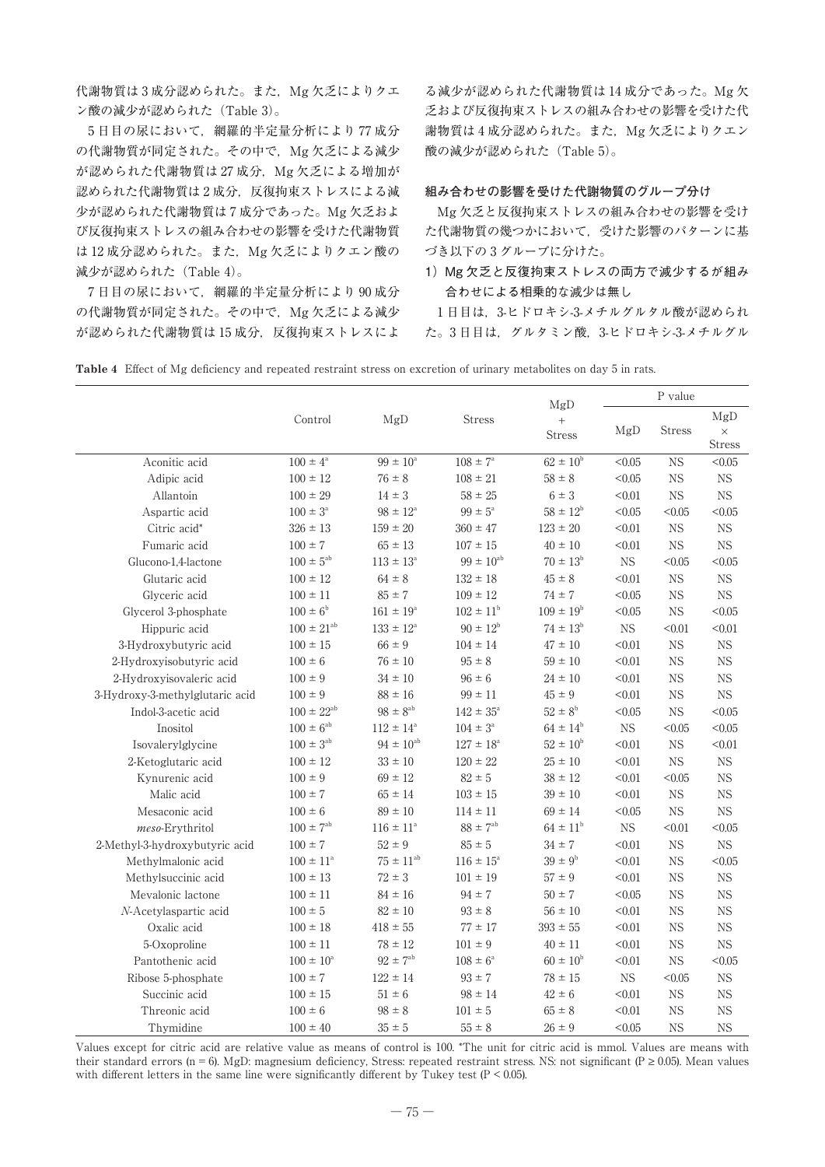代謝物質は3成分認められた。また, Mg 欠乏によりクエ ン酸の減少が認められた(Table 3)。

5 日目の尿において,網羅的半定量分析により 77 成分 の代謝物質が同定された。その中で, Mg 欠乏による減少 が認められた代謝物質は 27 成分, Mg 欠乏による増加が 認められた代謝物質は2成分,反復拘束ストレスによる減 少が認められた代謝物質は 7 成分であった。Mg 欠乏およ び反復拘束ストレスの組み合わせの影響を受けた代謝物質 は 12 成分認められた。また, Mg 欠乏によりクエン酸の 減少が認められた(Table 4)。

7 日目の尿において,網羅的半定量分析により 90 成分 の代謝物質が同定された。その中で、Mg 欠乏による減少 が認められた代謝物質は15成分, 反復拘束ストレスによ

る減少が認められた代謝物質は 14 成分であった。Mg 欠 乏および反復拘束ストレスの組み合わせの影響を受けた代 謝物質は4成分認められた。また, Mg 欠乏によりクエン 酸の減少が認められた $(Table 5)$ 。

### **組み合わせの影響を受けた代謝物質のグループ分け**

Mg 欠乏と反復拘束ストレスの組み合わせの影響を受け た代謝物質の幾つかにおいて,受けた影響のパターンに基 づき以下の 3 グループに分けた。

1) Mg 欠乏と反復拘束ストレスの両方で減少するが組み 合わせによる相乗的な減少は無し

1 日目は,3-ヒドロキシ-3-メチルグルタル酸が認められ た。3 日目は,グルタミン酸,3-ヒドロキシ-3-メチルグル

**Table 4** Effect of Mg deficiency and repeated restraint stress on excretion of urinary metabolites on day 5 in rats.

|                                 |                      |                      |                      |                                          | P value     |               |                           |
|---------------------------------|----------------------|----------------------|----------------------|------------------------------------------|-------------|---------------|---------------------------|
|                                 | Control              | MgD                  | <b>Stress</b>        | MgD<br>$\boldsymbol{+}$<br><b>Stress</b> | MgD         | <b>Stress</b> | MgD<br>$\times$<br>Stress |
| Aconitic acid                   | $100 \pm 4^{\circ}$  | $99 \pm 10^{\circ}$  | $108 \pm 7^{\circ}$  | $62 \pm 10^{6}$                          | < 0.05      | $_{\rm NS}$   | < 0.05                    |
| Adipic acid                     | $100 \pm 12$         | $76 \pm 8$           | $108 \pm 21$         | $58 \pm 8$                               | < 0.05      | <b>NS</b>     | <b>NS</b>                 |
| Allantoin                       | $100 \pm 29$         | $14 \pm 3$           | $58 \pm 25$          | $6 \pm 3$                                | < 0.01      | $_{\rm NS}$   | <b>NS</b>                 |
| Aspartic acid                   | $100\pm3^{\rm a}$    | $98 \pm 12^{\circ}$  | $99\pm5^{\circ}$     | $58\pm12^{\rm b}$                        | < 0.05      | < 0.05        | < 0.05                    |
| Citric acid*                    | $326 \pm 13$         | $159 \pm 20$         | $360 \pm 47$         | $123 \pm 20$                             | < 0.01      | $_{\rm NS}$   | $_{\rm NS}$               |
| Fumaric acid                    | $100 \pm 7$          | $65 \pm 13$          | $107 \pm 15$         | $40 \pm 10$                              | < 0.01      | $_{\rm NS}$   | <b>NS</b>                 |
| Glucono-1,4-lactone             | $100\pm5^{\rm ab}$   | $113 \pm 13^{\circ}$ | $99 \pm 10^{ab}$     | $70 \pm 13^{\rm b}$                      | $_{\rm NS}$ | < 0.05        | < 0.05                    |
| Glutaric acid                   | $100 \pm 12$         | $64 \pm 8$           | $132 \pm 18$         | $45 \pm 8$                               | < 0.01      | $_{\rm NS}$   | $_{\rm NS}$               |
| Glyceric acid                   | $100 \pm 11$         | $85 \pm 7$           | $109 \pm 12$         | $74 \pm 7$                               | < 0.05      | <b>NS</b>     | <b>NS</b>                 |
| Glycerol 3-phosphate            | $100 \pm 6^{\rm b}$  | $161 \pm 19^{\circ}$ | $102 \pm 11^{\circ}$ | $109 \pm 19^{b}$                         | < 0.05      | $_{\rm NS}$   | < 0.05                    |
| Hippuric acid                   | $100 \pm 21^{ab}$    | $133 \pm 12^{\circ}$ | $90 \pm 12^b$        | $74 \pm 13^b$                            | $_{\rm NS}$ | < 0.01        | < 0.01                    |
| 3-Hydroxybutyric acid           | $100 \pm 15$         | $66 \pm 9$           | $104 \pm 14$         | $47 \pm 10$                              | < 0.01      | $_{\rm NS}$   | $_{\rm NS}$               |
| 2-Hydroxyisobutyric acid        | $100 \pm 6$          | $76 \pm 10$          | $95 \pm 8$           | $59 \pm 10$                              | < 0.01      | <b>NS</b>     | <b>NS</b>                 |
| 2-Hydroxyisovaleric acid        | $100 \pm 9$          | $34 \pm 10$          | $96 \pm 6$           | $24 \pm 10$                              | < 0.01      | $_{\rm NS}$   | <b>NS</b>                 |
| 3-Hydroxy-3-methylglutaric acid | $100 \pm 9$          | $88 \pm 16$          | $99 \pm 11$          | $45 \pm 9$                               | < 0.01      | <b>NS</b>     | $_{\rm NS}$               |
| Indol-3-acetic acid             | $100 \pm 22^{ab}$    | $98 \pm 8^{ab}$      | $142 \pm 35^{\circ}$ | $52 \pm 8^{\rm b}$                       | < 0.05      | <b>NS</b>     | < 0.05                    |
| Inositol                        | $100\pm6^{\rm ab}$   | $112 \pm 14^{\circ}$ | $104 \pm 3^{\circ}$  | $64\pm14^{\rm b}$                        | $_{\rm NS}$ | < 0.05        | < 0.05                    |
| Isovalerylglycine               | $100 \pm 3^{ab}$     | $94 \pm 10^{ab}$     | $127 \pm 18^{\rm a}$ | $52 \pm 10^{\rm b}$                      | < 0.01      | $_{\rm NS}$   | < 0.01                    |
| 2-Ketoglutaric acid             | $100\pm12$           | $33 \pm 10$          | $120 \pm 22$         | $25 \pm 10$                              | < 0.01      | $_{\rm NS}$   | $_{\rm NS}$               |
| Kynurenic acid                  | $100 \pm 9$          | $69 \pm 12$          | $82 \pm 5$           | $38 \pm 12$                              | < 0.01      | < 0.05        | <b>NS</b>                 |
| Malic acid                      | $100 \pm 7$          | $65 \pm 14$          | $103 \pm 15$         | $39 \pm 10$                              | < 0.01      | <b>NS</b>     | <b>NS</b>                 |
| Mesaconic acid                  | $100 \pm 6$          | $89 \pm 10$          | $114 \pm 11$         | $69 \pm 14$                              | < 0.05      | $_{\rm NS}$   | <b>NS</b>                 |
| meso-Erythritol                 | $100 \pm 7^{ab}$     | $116 \pm 11^{a}$     | $88 \pm 7^{\rm ab}$  | $64 \pm 11^{b}$                          | $_{\rm NS}$ | < 0.01        | < 0.05                    |
| 2-Methyl-3-hydroxybutyric acid  | $100 \pm 7$          | $52 \pm 9$           | $85\pm5$             | $34\pm7$                                 | < 0.01      | $_{\rm NS}$   | $_{\rm NS}$               |
| Methylmalonic acid              | $100 \pm 11^{\rm a}$ | $75\pm11^{\rm ab}$   | $116 \pm 15^{\circ}$ | $39 \pm 9^b$                             | < 0.01      | $_{\rm NS}$   | < 0.05                    |
| Methylsuccinic acid             | $100 \pm 13$         | $72 \pm 3$           | $101 \pm 19$         | $57\pm9$                                 | < 0.01      | $_{\rm NS}$   | $_{\rm NS}$               |
| Mevalonic lactone               | $100 \pm 11$         | $84 \pm 16$          | $94 \pm 7$           | $50\pm7$                                 | < 0.05      | $_{\rm NS}$   | <b>NS</b>                 |
| N-Acetylaspartic acid           | $100 \pm 5$          | $82 \pm 10$          | $93 \pm 8$           | $56 \pm 10$                              | < 0.01      | <b>NS</b>     | <b>NS</b>                 |
| Oxalic acid                     | $100 \pm 18$         | $418 \pm 55$         | $77 \pm 17$          | $393 \pm 55$                             | < 0.01      | <b>NS</b>     | $_{\rm NS}$               |
| 5-Oxoproline                    | $100 \pm 11$         | $78 \pm 12$          | $101\pm9$            | $40 \pm 11$                              | < 0.01      | <b>NS</b>     | $_{\rm NS}$               |
| Pantothenic acid                | $100 \pm 10^{\rm a}$ | $92 \pm 7^{ab}$      | $108 \pm 6^{\circ}$  | $60 \pm 10^{b}$                          | < 0.01      | $_{\rm NS}$   | < 0.05                    |
| Ribose 5-phosphate              | $100 \pm 7$          | $122 \pm 14$         | $93 \pm 7$           | $78 \pm 15$                              | $_{\rm NS}$ | < 0.05        | $_{\rm NS}$               |
| Succinic acid                   | $100\pm15$           | $51 \pm 6$           | $98 \pm 14$          | $42 \pm 6$                               | < 0.01      | $_{\rm NS}$   | $_{\rm NS}$               |
| Threonic acid                   | $100 \pm 6$          | $98 \pm 8$           | $101 \pm 5$          | $65 \pm 8$                               | < 0.01      | <b>NS</b>     | <b>NS</b>                 |
| Thymidine                       | $100 \pm 40$         | $35 \pm 5$           | $55 \pm 8$           | $26 \pm 9$                               | < 0.05      | $_{\rm NS}$   | $_{\rm NS}$               |

Values except for citric acid are relative value as means of control is 100. \*The unit for citric acid is mmol. Values are means with their standard errors (n = 6). MgD: magnesium deficiency, Stress: repeated restraint stress. NS: not significant (P  $\geq$  0.05). Mean values with different letters in the same line were significantly different by Tukey test (P < 0.05).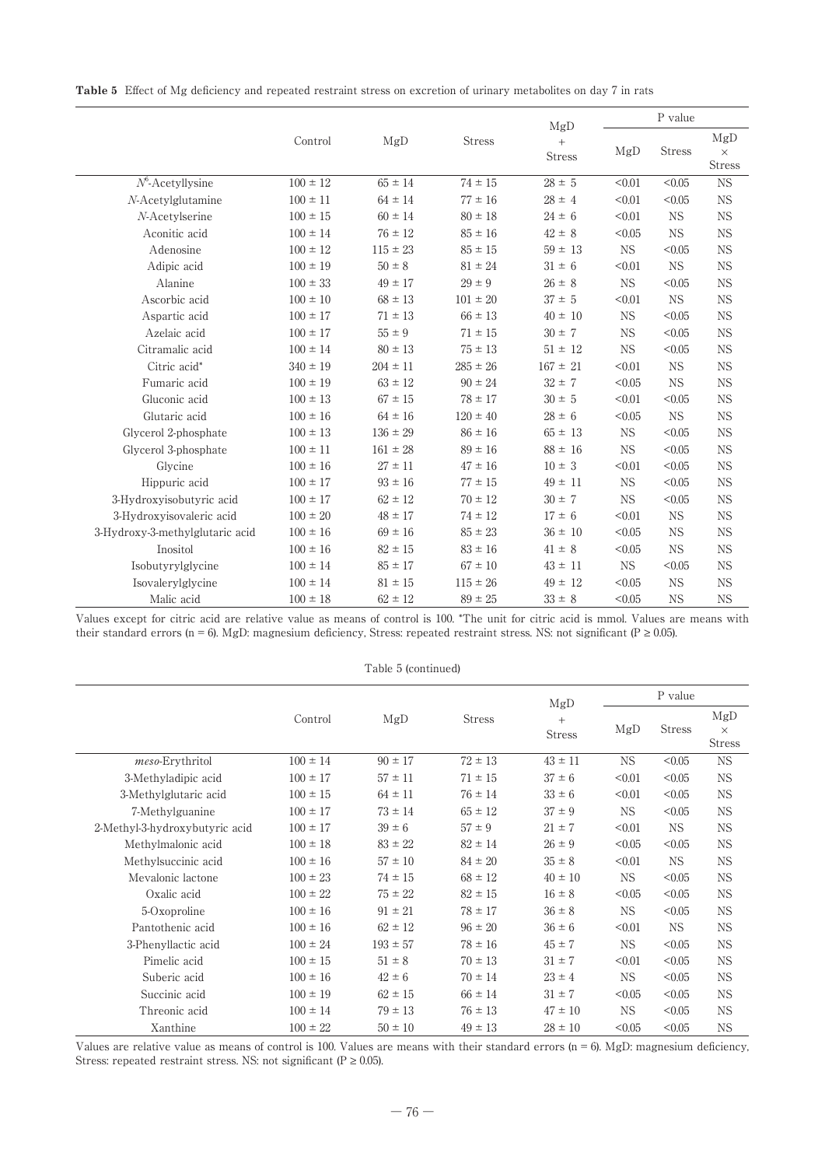**Table 5** Effect of Mg deficiency and repeated restraint stress on excretion of urinary metabolites on day 7 in rats

|                                 |              |              |               | MgD                     | P value   |               |                                  |  |
|---------------------------------|--------------|--------------|---------------|-------------------------|-----------|---------------|----------------------------------|--|
|                                 | Control      | MgD          | <b>Stress</b> | $^{+}$<br><b>Stress</b> | MgD       | <b>Stress</b> | MgD<br>$\times$<br><b>Stress</b> |  |
| $N^6$ -Acetyllysine             | $100 \pm 12$ | $65 \pm 14$  | $74 \pm 15$   | $28 \pm 5$              | < 0.01    | < 0.05        | <b>NS</b>                        |  |
| $N$ -Acetylglutamine            | $100 \pm 11$ | $64 \pm 14$  | $77 \pm 16$   | $28 \pm 4$              | < 0.01    | < 0.05        | <b>NS</b>                        |  |
| N-Acetylserine                  | $100 \pm 15$ | $60 \pm 14$  | $80 \pm 18$   | $24 \pm 6$              | < 0.01    | <b>NS</b>     | <b>NS</b>                        |  |
| Aconitic acid                   | $100 \pm 14$ | $76 \pm 12$  | $85 \pm 16$   | $42 \pm 8$              | < 0.05    | <b>NS</b>     | <b>NS</b>                        |  |
| Adenosine                       | $100 \pm 12$ | $115 \pm 23$ | $85 \pm 15$   | $59 \pm 13$             | <b>NS</b> | < 0.05        | <b>NS</b>                        |  |
| Adipic acid                     | $100 \pm 19$ | $50 \pm 8$   | $81 \pm 24$   | $31 \pm 6$              | < 0.01    | <b>NS</b>     | <b>NS</b>                        |  |
| Alanine                         | $100 \pm 33$ | $49 \pm 17$  | $29 \pm 9$    | $26 \pm 8$              | <b>NS</b> | < 0.05        | <b>NS</b>                        |  |
| Ascorbic acid                   | $100 \pm 10$ | $68 \pm 13$  | $101 \pm 20$  | $37 \pm 5$              | < 0.01    | <b>NS</b>     | <b>NS</b>                        |  |
| Aspartic acid                   | $100 \pm 17$ | $71 \pm 13$  | $66 \pm 13$   | $40 \pm 10$             | <b>NS</b> | < 0.05        | <b>NS</b>                        |  |
| Azelaic acid                    | $100 \pm 17$ | $55 \pm 9$   | $71 \pm 15$   | $30 \pm 7$              | <b>NS</b> | < 0.05        | <b>NS</b>                        |  |
| Citramalic acid                 | $100 \pm 14$ | $80 \pm 13$  | $75 \pm 13$   | $51 \pm 12$             | <b>NS</b> | < 0.05        | <b>NS</b>                        |  |
| Citric acid*                    | $340 \pm 19$ | $204 \pm 11$ | $285 \pm 26$  | $167 \pm 21$            | < 0.01    | <b>NS</b>     | <b>NS</b>                        |  |
| Fumaric acid                    | $100 \pm 19$ | $63 \pm 12$  | $90 \pm 24$   | $32 \pm 7$              | < 0.05    | $_{\rm NS}$   | <b>NS</b>                        |  |
| Gluconic acid                   | $100 \pm 13$ | $67 \pm 15$  | $78 \pm 17$   | $30 \pm 5$              | < 0.01    | < 0.05        | <b>NS</b>                        |  |
| Glutaric acid                   | $100 \pm 16$ | $64 \pm 16$  | $120 \pm 40$  | $28 \pm 6$              | < 0.05    | <b>NS</b>     | $_{\rm NS}$                      |  |
| Glycerol 2-phosphate            | $100 \pm 13$ | $136 \pm 29$ | $86 \pm 16$   | $65 \pm 13$             | <b>NS</b> | < 0.05        | <b>NS</b>                        |  |
| Glycerol 3-phosphate            | $100 \pm 11$ | $161 \pm 28$ | $89 \pm 16$   | $88 \pm 16$             | <b>NS</b> | < 0.05        | <b>NS</b>                        |  |
| Glycine                         | $100 \pm 16$ | $27 \pm 11$  | $47 \pm 16$   | $10 \pm 3$              | < 0.01    | < 0.05        | <b>NS</b>                        |  |
| Hippuric acid                   | $100 \pm 17$ | $93 \pm 16$  | $77 \pm 15$   | $49 \pm 11$             | <b>NS</b> | < 0.05        | <b>NS</b>                        |  |
| 3-Hydroxyisobutyric acid        | $100 \pm 17$ | $62 \pm 12$  | $70 \pm 12$   | $30 \pm 7$              | <b>NS</b> | < 0.05        | <b>NS</b>                        |  |
| 3-Hydroxyisovaleric acid        | $100 \pm 20$ | $48 \pm 17$  | $74 \pm 12$   | $17 \pm 6$              | < 0.01    | <b>NS</b>     | <b>NS</b>                        |  |
| 3-Hydroxy-3-methylglutaric acid | $100 \pm 16$ | $69 \pm 16$  | $85 \pm 23$   | $36 \pm 10$             | < 0.05    | <b>NS</b>     | <b>NS</b>                        |  |
| Inositol                        | $100 \pm 16$ | $82 \pm 15$  | $83 \pm 16$   | $41 \pm 8$              | < 0.05    | <b>NS</b>     | <b>NS</b>                        |  |
| Isobutyrylglycine               | $100 \pm 14$ | $85 \pm 17$  | $67 \pm 10$   | $43 \pm 11$             | <b>NS</b> | < 0.05        | <b>NS</b>                        |  |
| Isovalerylglycine               | $100 \pm 14$ | $81 \pm 15$  | $115 \pm 26$  | $49 \pm 12$             | < 0.05    | <b>NS</b>     | <b>NS</b>                        |  |
| Malic acid                      | $100 \pm 18$ | $62 \pm 12$  | $89 \pm 25$   | $33 \pm 8$              | < 0.05    | <b>NS</b>     | <b>NS</b>                        |  |

Values except for citric acid are relative value as means of control is 100. \*The unit for citric acid is mmol. Values are means with their standard errors (n = 6). MgD: magnesium deficiency, Stress: repeated restraint stress. NS: not significant ( $P \ge 0.05$ ).

|                                |              | Table 5 (continued) |               |                                |           |               |                                  |
|--------------------------------|--------------|---------------------|---------------|--------------------------------|-----------|---------------|----------------------------------|
|                                |              |                     |               |                                |           | P value       |                                  |
|                                | Control      | MgD                 | <b>Stress</b> | MgD<br>$\! +$<br><b>Stress</b> | MgD       | <b>Stress</b> | MgD<br>$\times$<br><b>Stress</b> |
| meso-Erythritol                | $100 \pm 14$ | $90 \pm 17$         | $72 \pm 13$   | $43 \pm 11$                    | NS.       | < 0.05        | <b>NS</b>                        |
| 3-Methyladipic acid            | $100 \pm 17$ | $57 \pm 11$         | $71 \pm 15$   | $37 \pm 6$                     | < 0.01    | < 0.05        | <b>NS</b>                        |
| 3-Methylglutaric acid          | $100 \pm 15$ | $64 \pm 11$         | $76 \pm 14$   | $33 \pm 6$                     | < 0.01    | < 0.05        | NS                               |
| 7-Methylguanine                | $100 \pm 17$ | $73 \pm 14$         | $65 \pm 12$   | $37 \pm 9$                     | NS.       | < 0.05        | <b>NS</b>                        |
| 2-Methyl-3-hydroxybutyric acid | $100 \pm 17$ | $39 \pm 6$          | $57 \pm 9$    | $21 \pm 7$                     | < 0.01    | <b>NS</b>     | <b>NS</b>                        |
| Methylmalonic acid             | $100 \pm 18$ | $83 \pm 22$         | $82 \pm 14$   | $26 \pm 9$                     | < 0.05    | < 0.05        | <b>NS</b>                        |
| Methylsuccinic acid            | $100 \pm 16$ | $57 \pm 10$         | $84 \pm 20$   | $35 \pm 8$                     | < 0.01    | <b>NS</b>     | <b>NS</b>                        |
| Mevalonic lactone              | $100 \pm 23$ | $74 \pm 15$         | $68 \pm 12$   | $40 \pm 10$                    | NS.       | < 0.05        | NS                               |
| Oxalic acid                    | $100 \pm 22$ | $75 \pm 22$         | $82 \pm 15$   | $16 \pm 8$                     | < 0.05    | < 0.05        | <b>NS</b>                        |
| 5-Oxoproline                   | $100 \pm 16$ | $91 \pm 21$         | $78 \pm 17$   | $36 \pm 8$                     | <b>NS</b> | < 0.05        | <b>NS</b>                        |
| Pantothenic acid               | $100 \pm 16$ | $62 \pm 12$         | $96 \pm 20$   | $36 \pm 6$                     | < 0.01    | <b>NS</b>     | <b>NS</b>                        |
| 3-Phenyllactic acid            | $100 \pm 24$ | $193 \pm 57$        | $78 \pm 16$   | $45 \pm 7$                     | <b>NS</b> | < 0.05        | <b>NS</b>                        |
| Pimelic acid                   | $100 \pm 15$ | $51 \pm 8$          | $70 \pm 13$   | $31 \pm 7$                     | < 0.01    | < 0.05        | <b>NS</b>                        |
| Suberic acid                   | $100 \pm 16$ | $42 \pm 6$          | $70 \pm 14$   | $23 \pm 4$                     | NS.       | < 0.05        | <b>NS</b>                        |
| Succinic acid                  | $100 \pm 19$ | $62 \pm 15$         | $66 \pm 14$   | $31 \pm 7$                     | < 0.05    | < 0.05        | <b>NS</b>                        |
| Threonic acid                  | $100 \pm 14$ | $79 \pm 13$         | $76 \pm 13$   | $47 \pm 10$                    | NS.       | < 0.05        | <b>NS</b>                        |
| Xanthine                       | $100 \pm 22$ | $50 \pm 10$         | $49 \pm 13$   | $28 \pm 10$                    | < 0.05    | < 0.05        | <b>NS</b>                        |

Values are relative value as means of control is 100. Values are means with their standard errors ( $n = 6$ ). MgD: magnesium deficiency, Stress: repeated restraint stress. NS: not significant ( $P \ge 0.05$ ).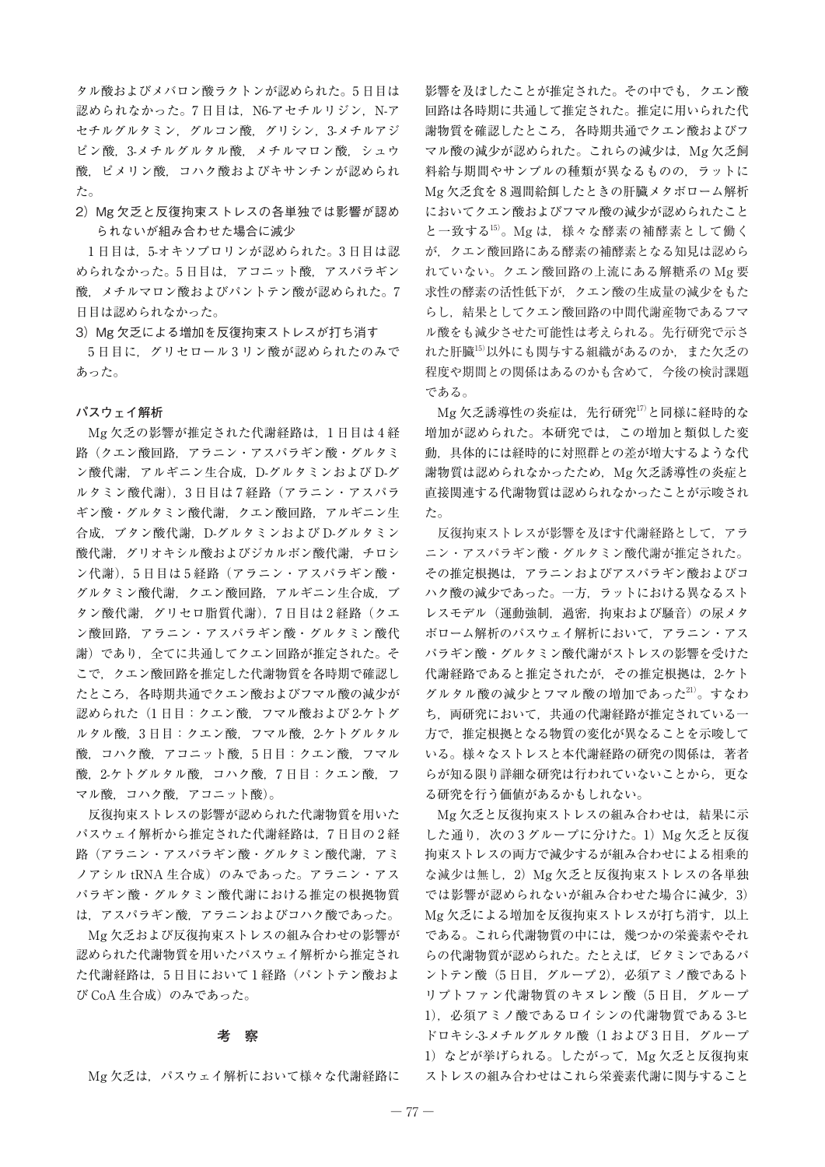タル酸およびメバロン酸ラクトンが認められた。5 日目は 認められなかった。7日目は, N6-アセチルリジン, N-ア セチルグルタミン,グルコン酸,グリシン,3-メチルアジ ピン酸,3-メチルグルタル酸,メチルマロン酸,シュウ 酸、ピメリン酸,コハク酸およびキサンチンが認められ た。

2) Mg 欠乏と反復拘束ストレスの各単独では影響が認め られないが組み合わせた場合に減少

1日目は、5オキソプロリンが認められた。3日目は認 められなかった。5 日目は,アコニット酸,アスパラギン 酸,メチルマロン酸およびパントテン酸が認められた。7 日目は認められなかった。

3) Mg 欠乏による増加を反復拘束ストレスが打ち消す

5日目に、グリセロール3リン酸が認められたのみで あった。

#### **パスウェイ解析**

Mg 欠乏の影響が推定された代謝経路は,1 日目は 4 経 路(クエン酸回路,アラニン・アスパラギン酸・グルタミ ン酸代謝, アルギニン生合成, D-グルタミンおよび D-グ ルタミン酸代謝), 3日目は7経路(アラニン・アスパラ ギン酸・グルタミン酸代謝,クエン酸回路,アルギニン生 合成,ブタン酸代謝,D-グルタミンおよび D-グルタミン 酸代謝, グリオキシル酸およびジカルボン酸代謝, チロシ ン代謝), 5日目は5経路(アラニン・アスパラギン酸・ グルタミン酸代謝,クエン酸回路,アルギニン生合成,ブ タン酸代謝,グリセロ脂質代謝),7日目は2経路(クエ ン酸回路,アラニン・アスパラギン酸・グルタミン酸代 謝)であり,全てに共通してクエン回路が推定された。そ こで,クエン酸回路を推定した代謝物質を各時期で確認し たところ,各時期共通でクエン酸およびフマル酸の減少が 認められた(1日目:クエン酸,フマル酸および2-ケトグ ルタル酸,3 日目:クエン酸,フマル酸,2-ケトグルタル 酸,コハク酸,アコニット酸,5 日目:クエン酸,フマル 酸,2-ケトグルタル酸,コハク酸,7 日目:クエン酸,フ マル酸,コハク酸,アコニット酸)。

反復拘束ストレスの影響が認められた代謝物質を用いた パスウェイ解析から推定された代謝経路は,7 日目の 2 経 路(アラニン・アスパラギン酸・グルタミン酸代謝,アミ ノアシル tRNA 生合成)のみであった。アラニン・アス パラギン酸・グルタミン酸代謝における推定の根拠物質 は,アスパラギン酸,アラニンおよびコハク酸であった。

Mg 欠乏および反復拘束ストレスの組み合わせの影響が 認められた代謝物質を用いたパスウェイ解析から推定され た代謝経路は、5日目において1経路(パントテン酸およ び CoA 生合成)のみであった。

### **考 察**

Mg 欠乏は、パスウェイ解析において様々な代謝経路に

影響を及ぼしたことが推定された。その中でも,クエン酸 回路は各時期に共通して推定された。推定に用いられた代 謝物質を確認したところ,各時期共通でクエン酸およびフ マル酸の減少が認められた。これらの減少は,Mg 欠乏飼 料給与期間やサンプルの種類が異なるものの,ラットに Mg 欠乏食を 8 週間給餌したときの肝臓メタボローム解析 においてクエン酸およびフマル酸の減少が認められたこと と一致する<sup>15)</sup>。Mg は、様々な酵素の補酵素として働く が,クエン酸回路にある酵素の補酵素となる知見は認めら れていない。クエン酸回路の上流にある解糖系の Mg 要 求性の酵素の活性低下が,クエン酸の生成量の減少をもた らし,結果としてクエン酸回路の中間代謝産物であるフマ ル酸をも減少させた可能性は考えられる。先行研究で示さ れた肝臓15)以外にも関与する組織があるのか、また欠乏の 程度や期間との関係はあるのかも含めて,今後の検討課題 である。

Mg 欠乏誘導性の炎症は、先行研究17)と同様に経時的な 増加が認められた。本研究では,この増加と類似した変 動,具体的には経時的に対照群との差が増大するような代 謝物質は認められなかったため、Mg 欠乏誘導性の炎症と 直接関連する代謝物質は認められなかったことが示唆され た。

反復拘束ストレスが影響を及ぼす代謝経路として,アラ ニン・アスパラギン酸・グルタミン酸代謝が推定された。 その推定根拠は,アラニンおよびアスパラギン酸およびコ ハク酸の減少であった。一方,ラットにおける異なるスト レスモデル(運動強制,過密,拘束および騒音)の尿メタ ボローム解析のパスウェイ解析において,アラニン・アス パラギン酸・グルタミン酸代謝がストレスの影響を受けた 代謝経路であると推定されたが、その推定根拠は、2-ケト グルタル酸の減少とフマル酸の増加であった21)。すなわ ち、両研究において、共通の代謝経路が推定されている一 方で,推定根拠となる物質の変化が異なることを示唆して いる。様々なストレスと本代謝経路の研究の関係は,著者 らが知る限り詳細な研究は行われていないことから、更な る研究を行う価値があるかもしれない。

Mg 欠乏と反復拘束ストレスの組み合わせは,結果に示 した通り、次の3グループに分けた。1) Mg 欠乏と反復 拘束ストレスの両方で減少するが組み合わせによる相乗的 な減少は無し,2)Mg 欠乏と反復拘束ストレスの各単独 では影響が認められないが組み合わせた場合に減少, 3) Mg 欠乏による増加を反復拘束ストレスが打ち消す、以上 である。これら代謝物質の中には,幾つかの栄養素やそれ らの代謝物質が認められた。たとえば,ビタミンであるパ ントテン酸(5 日目,グループ 2),必須アミノ酸であるト リプトファン代謝物質のキヌレン酸(5 日目,グループ 1),必須アミノ酸であるロイシンの代謝物質である 3-ヒ ドロキシ-3-メチルグルクル酸(1および3日目,グループ 1) などが挙げられる。したがって、Mg 欠乏と反復拘束 ストレスの組み合わせはこれら栄養素代謝に関与すること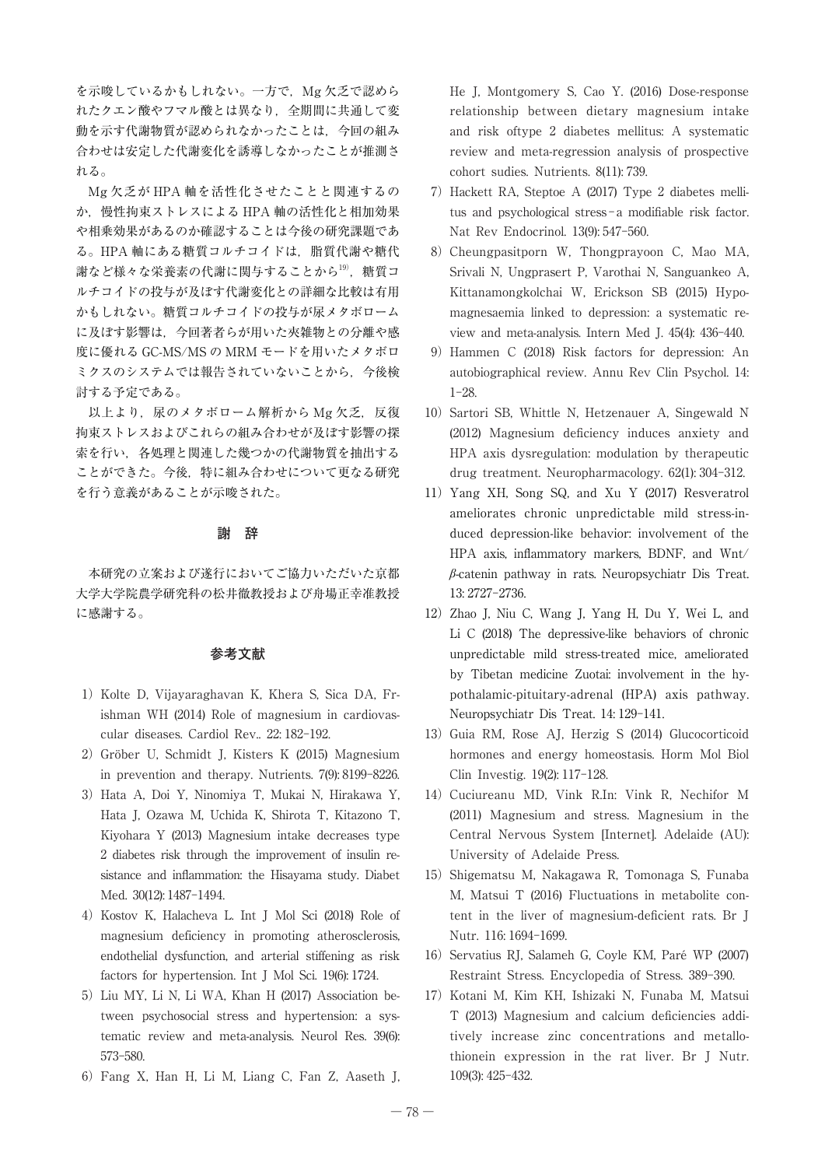を示唆しているかもしれない。一方で、Mg 欠乏で認めら れたクエン酸やフマル酸とは異なり,全期間に共通して変 動を示す代謝物質が認められなかったことは,今回の組み 合わせは安定した代謝変化を誘導しなかったことが推測さ れる。

Mg 欠乏が HPA 軸を活性化させたことと関連するの か,慢性拘束ストレスによる HPA 軸の活性化と相加効果 や相乗効果があるのか確認することは今後の研究課題であ る。HPA 軸にある糖質コルチコイドは,脂質代謝や糖代 謝など様々な栄養素の代謝に関与することから<sup>19)</sup>, 糖質コ ルチコイドの投与が及ぼす代謝変化との詳細な比較は有用 かもしれない。糖質コルチコイドの投与が尿メタボローム に及ぼす影響は,今回著者らが用いた夾雑物との分離や感 度に優れる GC-MS/MS の MRM モードを用いたメタボロ ミクスのシステムでは報告されていないことから,今後検 討する予定である。

以上より、尿のメタボローム解析から Mg 欠乏, 反復 拘束ストレスおよびこれらの組み合わせが及ぼす影響の探 索を行い,各処理と関連した幾つかの代謝物質を抽出する ことができた。今後,特に組み合わせについて更なる研究 を行う意義があることが示唆された。

### **謝 辞**

本研究の立案および遂行においてご協力いただいた京都 大学大学院農学研究科の松井徹教授および舟場正幸准教授 に感謝する。

## **参考文献**

- 1) Kolte D, Vijayaraghavan K, Khera S, Sica DA, Frishman WH (2014) Role of magnesium in cardiovascular diseases. Cardiol Rev.. 22: 182-192.
- 2)Gröber U, Schmidt J, Kisters K (2015) Magnesium in prevention and therapy. Nutrients. 7(9): 8199-8226.
- 3) Hata A, Doi Y, Ninomiya T, Mukai N, Hirakawa Y, Hata J, Ozawa M, Uchida K, Shirota T, Kitazono T, Kiyohara Y (2013) Magnesium intake decreases type 2 diabetes risk through the improvement of insulin resistance and inflammation: the Hisayama study. Diabet Med. 30(12): 1487-1494.
- 4)Kostov K, Halacheva L. Int J Mol Sci (2018) Role of magnesium deficiency in promoting atherosclerosis, endothelial dysfunction, and arterial stiffening as risk factors for hypertension. Int J Mol Sci. 19(6): 1724.
- 5)Liu MY, Li N, Li WA, Khan H (2017) Association between psychosocial stress and hypertension: a systematic review and meta-analysis. Neurol Res. 39(6): 573-580.
- 6)Fang X, Han H, Li M, Liang C, Fan Z, Aaseth J,

He J, Montgomery S, Cao Y. (2016) Dose-response relationship between dietary magnesium intake and risk oftype 2 diabetes mellitus: A systematic review and meta-regression analysis of prospective cohort sudies. Nutrients. 8(11): 739.

- 7)Hackett RA, Steptoe A (2017) Type 2 diabetes mellitus and psychological stress - a modifiable risk factor. Nat Rev Endocrinol. 13(9): 547-560.
- 8) Cheungpasitporn W, Thongprayoon C, Mao MA, Srivali N, Ungprasert P, Varothai N, Sanguankeo A, Kittanamongkolchai W, Erickson SB (2015) Hypomagnesaemia linked to depression: a systematic review and meta-analysis. Intern Med J. 45(4): 436-440.
- 9)Hammen C (2018) Risk factors for depression: An autobiographical review. Annu Rev Clin Psychol. 14: 1-28.
- 10) Sartori SB, Whittle N, Hetzenauer A, Singewald N (2012) Magnesium deficiency induces anxiety and HPA axis dysregulation: modulation by therapeutic drug treatment. Neuropharmacology. 62(1): 304-312.
- 11)Yang XH, Song SQ, and Xu Y (2017) Resveratrol ameliorates chronic unpredictable mild stress-induced depression-like behavior: involvement of the HPA axis, inflammatory markers, BDNF, and Wnt/ *β*-catenin pathway in rats. Neuropsychiatr Dis Treat. 13: 2727-2736.
- 12) Zhao J, Niu C, Wang J, Yang H, Du Y, Wei L, and Li C (2018) The depressive-like behaviors of chronic unpredictable mild stress-treated mice, ameliorated by Tibetan medicine Zuotai: involvement in the hypothalamic-pituitary-adrenal (HPA) axis pathway. Neuropsychiatr Dis Treat. 14: 129-141.
- 13) Guia RM, Rose AJ, Herzig S (2014) Glucocorticoid hormones and energy homeostasis. Horm Mol Biol Clin Investig. 19(2): 117-128.
- 14) Cuciureanu MD, Vink R.In: Vink R, Nechifor M (2011) Magnesium and stress. Magnesium in the Central Nervous System [Internet]. Adelaide (AU): University of Adelaide Press.
- 15) Shigematsu M, Nakagawa R, Tomonaga S, Funaba M, Matsui T (2016) Fluctuations in metabolite content in the liver of magnesium-deficient rats. Br J Nutr. 116: 1694-1699.
- 16) Servatius RJ, Salameh G, Coyle KM, Paré WP (2007) Restraint Stress. Encyclopedia of Stress. 389-390.
- 17)Kotani M, Kim KH, Ishizaki N, Funaba M, Matsui T (2013) Magnesium and calcium deficiencies additively increase zinc concentrations and metallothionein expression in the rat liver. Br J Nutr. 109(3): 425-432.